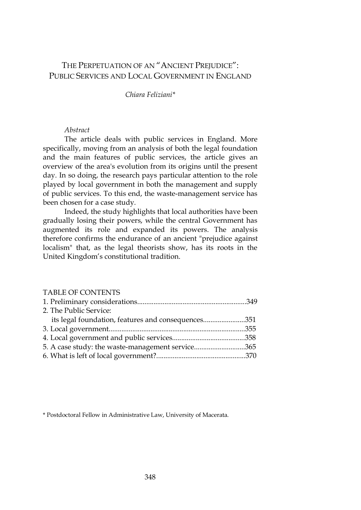# THE PERPETUATION OF AN "ANCIENT PREJUDICE": PUBLIC SERVICES AND LOCAL GOVERNMENT IN ENGLAND

### *Chiara Feliziani\**

# *Abstract*

The article deals with public services in England. More specifically, moving from an analysis of both the legal foundation and the main features of public services, the article gives an overview of the area's evolution from its origins until the present day. In so doing, the research pays particular attention to the role played by local government in both the management and supply of public services. To this end, the waste-management service has been chosen for a case study.

Indeed, the study highlights that local authorities have been gradually losing their powers, while the central Government has augmented its role and expanded its powers. The analysis therefore confirms the endurance of an ancient "prejudice against localism" that, as the legal theorists show, has its roots in the United Kingdom's constitutional tradition.

#### TABLE OF CONTENTS

| 2. The Public Service:                             |  |
|----------------------------------------------------|--|
| its legal foundation, features and consequences351 |  |
|                                                    |  |
|                                                    |  |
| 5. A case study: the waste-management service365   |  |
|                                                    |  |

\* Postdoctoral Fellow in Administrative Law, University of Macerata.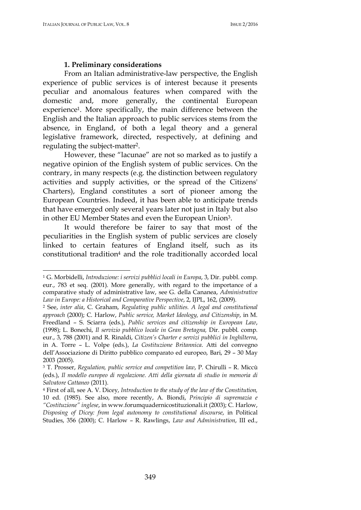$\overline{a}$ 

### **1. Preliminary considerations**

From an Italian administrative-law perspective, the English experience of public services is of interest because it presents peculiar and anomalous features when compared with the domestic and, more generally, the continental European experience1. More specifically, the main difference between the English and the Italian approach to public services stems from the absence, in England, of both a legal theory and a general legislative framework, directed, respectively, at defining and regulating the subject-matter2.

However, these "lacunae" are not so marked as to justify a negative opinion of the English system of public services. On the contrary, in many respects (e.g. the distinction between regulatory activities and supply activities, or the spread of the Citizens' Charters), England constitutes a sort of pioneer among the European Countries. Indeed, it has been able to anticipate trends that have emerged only several years later not just in Italy but also in other EU Member States and even the European Union3.

It would therefore be fairer to say that most of the peculiarities in the English system of public services are closely linked to certain features of England itself, such as its constitutional tradition4 and the role traditionally accorded local

<sup>1</sup> G. Morbidelli, *Introduzione: i servizi pubblici locali in Europa*, 3, Dir. pubbl. comp. eur., 783 et seq. (2001). More generally, with regard to the importance of a comparative study of administrative law, see G. della Cananea, *Administrative Law in Europe: a Historical and Comparative Perspective*, 2, IJPL, 162, (2009).

<sup>2</sup> See, *inter alia*, C. Graham, *Regulating public utilities. A legal and constitutional approach* (2000); C. Harlow, *Public service, Market Ideology, and Citizenship*, in M. Freedland – S. Sciarra (eds.), *Public services and citizenship in European Law*, (1998); L. Bonechi, *Il servizio pubblico locale in Gran Bretagna,* Dir. pubbl. comp. eur., 3, 788 (2001) and R. Rinaldi, *Citizen's Charter e servizi pubblici in Inghilterra*, in A. Torre – L. Volpe (eds.), *La Costituzione Britannica*. Atti del convegno dell'Associazione di Diritto pubblico comparato ed europeo, Bari, 29 – 30 May 2003 (2005).

<sup>3</sup> T. Prosser, *Regulation, public service and competition law*, P. Chirulli – R. Miccù (eds.), *Il modello europeo di regolazione. Atti della giornata di studio in memoria di Salvatore Cattaneo* (2011).

<sup>4</sup> First of all, see A. V. Dicey, *Introduction to the study of the law of the Constitution,*  10 ed. (1985). See also, more recently, A. Biondi, *Principio di supremazia e "Costituzione" inglese*, in www.forumquadernicostituzionali.it (2003); C. Harlow, *Disposing of Dicey: from legal autonomy to constitutional discourse*, in Political Studies, 356 (2000); C. Harlow – R. Rawlings, *Law and Administration*, III ed.,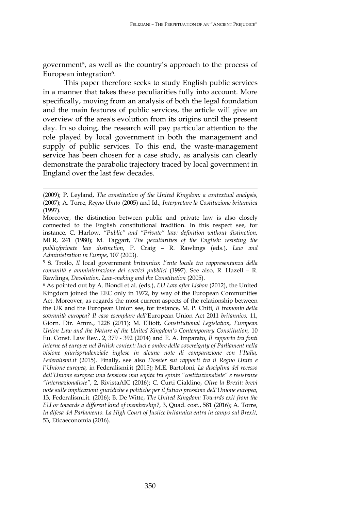government5, as well as the country's approach to the process of European integration<sup>6</sup>.

This paper therefore seeks to study English public services in a manner that takes these peculiarities fully into account. More specifically, moving from an analysis of both the legal foundation and the main features of public services, the article will give an overview of the area's evolution from its origins until the present day. In so doing, the research will pay particular attention to the role played by local government in both the management and supply of public services. To this end, the waste-management service has been chosen for a case study, as analysis can clearly demonstrate the parabolic trajectory traced by local government in England over the last few decades.

<sup>(2009);</sup> P. Leyland, *The constitution of the United Kingdom: a contextual analysis*, (2007); A. Torre, *Regno Unito* (2005) and Id., *Interpretare la Costituzione britannica* (1997).

Moreover, the distinction between public and private law is also closely connected to the English constitutional tradition. In this respect see, for instance, C. Harlow*, "Public" and "Private" law: definition without distinction*, MLR, 241 (1980); M. Taggart, *The peculiarities of the English: resisting the public/private law distinction*, P. Craig – R. Rawlings (eds.), *Law and Administration in Europe*, 107 (2003).

<sup>5</sup> S. Troilo, *Il* local government *britannico: l'ente locale tra rappresentanza della comunità e amministrazione dei servizi pubblici* (1997). See also, R. Hazell – R. Rawlings, *Devolution, Law–making and the Constitution* (2005).

<sup>6</sup> As pointed out by A. Biondi et al. (eds.), *EU Law after Lisbon* (2012), the United Kingdom joined the EEC only in 1972, by way of the European Communities Act. Moreover, as regards the most current aspects of the relationship between the UK and the European Union see, for instance, M. P. Chiti, *Il tramonto della sovranità europea? Il caso esemplare dell'*European Union Act 2011 *britannico,* 11, Giorn. Dir. Amm*.*, 1228 (2011); M. Elliott, *Constitutional Legislation, European Union Law and the Nature of the United Kingdom's Contemporary Constitution,* 10 Eu. Const. Law Rev., 2, 379 - 392 (2014) and E. A. Imparato, *Il rapporto tra fonti interne ed europee nel British context: luci e ombre della sovereignty of Parliament nella visione giurisprudenziale inglese in alcune note di comparazione con l'Italia, Federalismi.it* (2015). Finally, see also *Dossier sui rapporti tra il Regno Unito e l'Unione europea,* in Federalismi.it (2015); M.E. Bartoloni, *La disciplina del recesso dall'Unione europea: una tensione mai sopita tra spinte "costituzionaliste" e resistenze "internazionaliste"*, 2, RivistaAIC (2016); C. Curti Gialdino, *Oltre la Brexit: brevi note sulle implicazioni giuridiche e politiche per il futuro prossimo dell'Unione europea*, 13, Federalismi.it. (2016); B. De Witte, *The United Kingdom: Towards exit from the EU or towards a different kind of membership?,* 3, Quad. cost., 581 (2016); A. Torre, *In difesa del Parlamento. La High Court of Justice britannica entra in campo sul Brexit*, 53, Eticaeconomia (2016).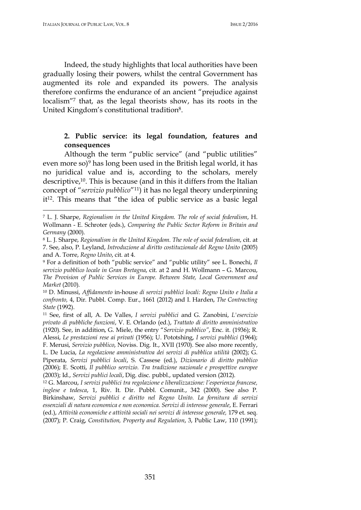$\overline{a}$ 

Indeed, the study highlights that local authorities have been gradually losing their powers, whilst the central Government has augmented its role and expanded its powers. The analysis therefore confirms the endurance of an ancient "prejudice against localism"<sup>7</sup> that, as the legal theorists show, has its roots in the United Kingdom's constitutional tradition8.

# **2. Public service: its legal foundation, features and consequences**

Although the term "public service" (and "public utilities" even more so)<sup>9</sup> has long been used in the British legal world, it has no juridical value and is, according to the scholars, merely descriptive,<sup>10</sup>. This is because (and in this it differs from the Italian concept of "*servizio pubblico*"11) it has no legal theory underpinning it12. This means that "the idea of public service as a basic legal

<sup>7</sup> L. J. Sharpe, *Regionalism in the United Kingdom. The role of social federalism*, H. Wollmann - E. Schroter (eds.), *Comparing the Public Sector Reform in Britain and Germany* (2000).

<sup>8</sup> L. J. Sharpe, *Regionalism in the United Kingdom. The role of social federalism*, cit. at 7. See, also, P. Leyland, *Introduzione al diritto costituzionale del Regno Unito* (2005) and A. Torre, *Regno Unito*, cit. at 4.

<sup>9</sup> For a definition of both "public service" and "public utility" see L. Bonechi, *Il servizio pubblico locale in Gran Bretagna*, cit. at 2 and H. Wollmann – G. Marcou, *The Provision of Public Services in Europe. Between State, Local Government and Market* (2010).

<sup>10</sup> D. Minussi, *Affidamento* in-house *di servizi pubblici locali: Regno Unito e Italia a confronto,* 4, Dir. Pubbl. Comp. Eur., 1661 (2012) and I. Harden, *The Contracting State* (1992).

<sup>11</sup> See, first of all, A. De Valles, *I servizi pubblici* and G. Zanobini, *L'esercizio privato di pubbliche funzioni*, V. E. Orlando (ed.), *Trattato di diritto amministrativo* (1920). See, in addition, G. Miele, the entry "*Servizio pubblico"*, Enc. it. (1936); R. Alessi, *Le prestazioni rese ai privati* (1956); U. Pototshing, *I servizi pubblici* (1964); F. Merusi, *Servizio pubblico*, Noviss. Dig. It., XVII (1970). See also more recently, L. De Lucia, *La regolazione amministrativa dei servizi di pubblica utilità* (2002); G. Piperata, *Servizi pubblici locali*, S. Cassese (ed.), *Dizionario di diritto pubblico* (2006); E. Scotti, *Il pubblico servizio. Tra tradizione nazionale e prospettive europee*

<sup>(2003);</sup> Id., *Servizi publici locali*, Dig. disc. pubbl., updated version (2012).

<sup>12</sup> G. Marcou, *I servizi pubblici tra regolazione e liberalizzazione: l'esperienza francese, inglese e tedesca*, 1, Riv. It. Dir. Pubbl. Comunit., 342 (2000). See also P. Birkinshaw, *Servizi pubblici e diritto nel Regno Unito. La fornitura di servizi essenziali di natura economica e non economica. Servizi di interesse generale*, E. Ferrari (ed.), *Attività economiche e attività sociali nei servizi di interesse generale,* 179 et. seq. (2007); P. Craig, *Constitution, Property and Regulation*, 3, Public Law, 110 (1991);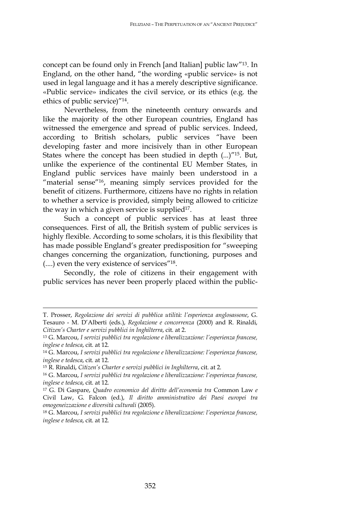concept can be found only in French [and Italian] public law"13. In England, on the other hand, "the wording «public service» is not used in legal language and it has a merely descriptive significance. «Public service» indicates the civil service, or its ethics (e.g. the ethics of public service)"14.

Nevertheless, from the nineteenth century onwards and like the majority of the other European countries, England has witnessed the emergence and spread of public services. Indeed, according to British scholars, public services "have been developing faster and more incisively than in other European States where the concept has been studied in depth (...)"15. But, unlike the experience of the continental EU Member States, in England public services have mainly been understood in a "material sense"<sup>16</sup>, meaning simply services provided for the benefit of citizens. Furthermore, citizens have no rights in relation to whether a service is provided, simply being allowed to criticize the way in which a given service is supplied<sup>17</sup>.

Such a concept of public services has at least three consequences. First of all, the British system of public services is highly flexible. According to some scholars, it is this flexibility that has made possible England's greater predisposition for "sweeping changes concerning the organization, functioning, purposes and (....) even the very existence of services"18.

Secondly, the role of citizens in their engagement with public services has never been properly placed within the public-

T. Prosser, *Regolazione dei servizi di pubblica utilità: l'esperienza anglosassone*, G. Tesauro - M. D'Alberti (eds.), *Regolazione e concorrenza* (2000) and R. Rinaldi, *Citizen's Charter e servizi pubblici in Inghilterra*, cit. at 2.

<sup>13</sup> G. Marcou, *I servizi pubblici tra regolazione e liberalizzazione: l'esperienza francese, inglese e tedesca*, cit. at 12.

<sup>14</sup> G. Marcou, *I servizi pubblici tra regolazione e liberalizzazione: l'esperienza francese, inglese e tedesca*, cit. at 12.

<sup>15</sup> R. Rinaldi, *Citizen's Charter e servizi pubblici in Inghilterra*, cit. at 2.

<sup>16</sup> G. Marcou, *I servizi pubblici tra regolazione e liberalizzazione: l'esperienza francese, inglese e tedesca*, cit. at 12.

<sup>17</sup> G. Di Gaspare, *Quadro economico del diritto dell'economia tra* Common Law *e* Civil Law, G. Falcon (ed.), *Il diritto amministrativo dei Paesi europei tra omogeneizzazione e diversità culturali* (2005).

<sup>18</sup> G. Marcou, *I servizi pubblici tra regolazione e liberalizzazione: l'esperienza francese, inglese e tedesca*, cit. at 12.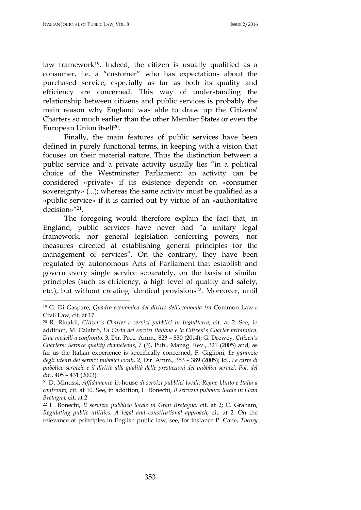$\overline{a}$ 

law framework<sup>19</sup>. Indeed, the citizen is usually qualified as a consumer, i.e. a "customer" who has expectations about the purchased service, especially as far as both its quality and efficiency are concerned. This way of understanding the relationship between citizens and public services is probably the main reason why England was able to draw up the Citizens' Charters so much earlier than the other Member States or even the European Union itself20.

Finally, the main features of public services have been defined in purely functional terms, in keeping with a vision that focuses on their material nature. Thus the distinction between a public service and a private activity usually lies "in a political choice of the Westminster Parliament: an activity can be considered «private» if its existence depends on «consumer sovereignty» (...); whereas the same activity must be qualified as a «public service» if it is carried out by virtue of an «authoritative decision»"21.

The foregoing would therefore explain the fact that, in England, public services have never had "a unitary legal framework, nor general legislation conferring powers, nor measures directed at establishing general principles for the management of services". On the contrary, they have been regulated by autonomous Acts of Parliament that establish and govern every single service separately, on the basis of similar principles (such as efficiency, a high level of quality and safety, etc.), but without creating identical provisions<sup>22</sup>. Moreover, until

<sup>19</sup> G. Di Gaspare, *Quadro economico del diritto dell'economia tra* Common Law *e* Civil Law, cit. at 17.

<sup>20</sup> R. Rinaldi, *Citizen's Charter e servizi pubblici in Inghilterra*, cit. at 2*.* See, in addition, M. Calabrò, *La Carta dei servizi italiana e la Citizen's Charter britannica. Due modelli a confronto,* 3, Dir. Proc. Amm., 823 – 830 (2014); G. Drewey, *Citizen's Charters: Service quality chameleons*, 7 (3), Publ. Manag. Rev., 321 (2005) and, as far as the Italian experience is specifically concerned, F. Giglioni, *Le garanzie degli utenti dei servizi pubblici locali,* 2, Dir. Amm., 353 – 389 (2005); Id., *Le carte di pubblico servizio e il diritto alla qualità delle prestazioni dei pubblici servizi, Pol. del dir*., 405 – 431 (2003).

<sup>21</sup> D. Minussi, *Affidamento* in-house *di servizi pubblici locali: Regno Unito e Italia a confronto,* cit. at 10. See, in addition, L. Bonechi, *Il servizio pubblico locale in Gran Bretagna,* cit. at 2.

<sup>22</sup> L. Bonechi, *Il servizio pubblico locale in Gran Bretagna,* cit. at 2; C. Graham, *Regulating public utilities. A legal and constitutional approach*, cit. at 2. On the relevance of principles in English public law, see, for instance P. Cane, *Theory*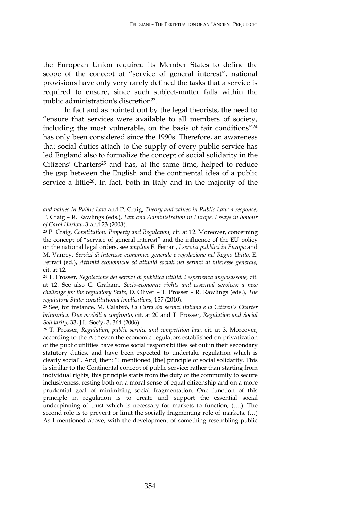the European Union required its Member States to define the scope of the concept of "service of general interest", national provisions have only very rarely defined the tasks that a service is required to ensure, since such subject-matter falls within the public administration's discretion<sup>23</sup>.

In fact and as pointed out by the legal theorists, the need to "ensure that services were available to all members of society, including the most vulnerable, on the basis of fair conditions"<sup>24</sup> has only been considered since the 1990s. Therefore, an awareness that social duties attach to the supply of every public service has led England also to formalize the concept of social solidarity in the Citizens' Charters<sup>25</sup> and has, at the same time, helped to reduce the gap between the English and the continental idea of a public service a little26. In fact, both in Italy and in the majority of the

*and values in Public Law* and P. Craig, *Theory and values in Public Law: a response*, P. Craig – R. Rawlings (eds.), *Law and Administration in Europe. Essays in honour of Carol Harlow*, 3 and 23 (2003).

<sup>23</sup> P. Craig, *Constitution, Property and Regulation*, cit. at 12. Moreover, concerning the concept of "service of general interest" and the influence of the EU policy on the national legal orders, see *amplius* E. Ferrari, *I servizi pubblici in Europa* and M. Vanrey, *Servizi di interesse economico generale e regolazione nel Regno Unito*, E. Ferrari (ed.), *Attività economiche ed attività sociali nei servizi di interesse generale,*  cit. at 12.

<sup>24</sup> T. Prosser, *Regolazione dei servizi di pubblica utilità: l'esperienza anglosassone,* cit. at 12. See also C. Graham, *Socio-economic rights and essential services: a new challenge for the regulatory State*, D. Oliver – T. Prosser – R. Rawlings (eds.), *The regulatory State: constitutional implications*, 157 (2010).

<sup>25</sup> See, for instance, M. Calabrò, *La Carta dei servizi italiana e la Citizen's Charter britannica. Due modelli a confronto*, cit. at 20 and T. Prosser, *Regulation and Social Solidarity*, 33, J.L. Soc'y, 3, 364 (2006).

<sup>26</sup> T. Prosser, *Regulation, public service and competition law*, cit. at 3. Moreover, according to the A.: "even the economic regulators established on privatization of the public utilities have some social responsibilities set out in their secondary statutory duties, and have been expected to undertake regulation which is clearly social". And, then: "I mentioned [the] principle of social solidarity. This is similar to the Continental concept of public service; rather than starting from individual rights, this principle starts from the duty of the community to secure inclusiveness, resting both on a moral sense of equal citizenship and on a more prudential goal of minimizing social fragmentation. One function of this principle in regulation is to create and support the essential social underpinning of trust which is necessary for markets to function; (….). The second role is to prevent or limit the socially fragmenting role of markets. (…) As I mentioned above, with the development of something resembling public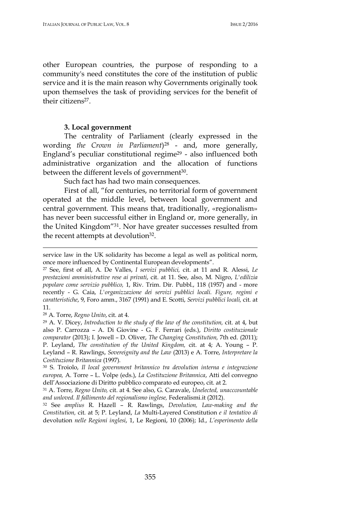other European countries, the purpose of responding to a community's need constitutes the core of the institution of public service and it is the main reason why Governments originally took upon themselves the task of providing services for the benefit of their citizens<sup>27</sup>.

### **3. Local government**

The centrality of Parliament (clearly expressed in the wording *the Crown in Parliament*)28 - and, more generally, England's peculiar constitutional regime29 - also influenced both administrative organization and the allocation of functions between the different levels of government<sup>30</sup>.

Such fact has had two main consequences.

First of all, "for centuries, no territorial form of government operated at the middle level, between local government and central government. This means that, traditionally, «regionalism» has never been successful either in England or, more generally, in the United Kingdom"31. Nor have greater successes resulted from the recent attempts at devolution<sup>32</sup>.

<sup>28</sup> A. Torre, *Regno Unito*, cit. at 4.

service law in the UK solidarity has become a legal as well as political norm, once more influenced by Continental European developments".

<sup>27</sup> See, first of all, A. De Valles, *I servizi pubblici,* cit. at 11 and R. Alessi, *Le prestazioni amministrative rese ai privati*, cit. at 11. See, also, M. Nigro, *L'edilizia popolare come servizio pubblico,* 1, Riv. Trim. Dir. Pubbl., 118 (1957) and - more recently - G. Caia, *L'organizzazione dei servizi pubblici locali. Figure, regimi e caratteristiche*, 9, Foro amm., 3167 (1991) and E. Scotti, *Servizi pubblici locali,* cit. at 11.

<sup>29</sup> A. V. Dicey, *Introduction to the study of the law of the constitution,* cit. at 4, but also P. Carrozza – A. Di Giovine - G. F. Ferrari (eds.), *Diritto costituzionale comparator* (2013); I. Jowell – D. Oliver, *The Changing Constitution,* 7th ed. (2011); P. Leyland, *The constitution of the United Kingdom,* cit. at 4; A. Young – P. Leyland – R. Rawlings, *Sovereignity and the Law* (2013) e A. Torre, *Interpretare la Costituzione Britannica* (1997).

<sup>30</sup> S. Troiolo, *Il local government britannico tra devolution interna e integrazione europea,* A. Torre – L. Volpe (eds.), *La Costituzione Britannica*, Atti del convegno dell'Associazione di Diritto pubblico comparato ed europeo, cit. at 2.

<sup>31</sup> A. Torre, *Regno Unito,* cit. at 4. See also, G. Caravale, *Unelected, unacccountable and unloved. Il fallimento del regionalismo inglese,* Federalismi.it (2012).

<sup>32</sup> See *amplius* R. Hazell – R. Rawlings, *Devolution, Law-making and the Constitution,* cit. at 5; P. Leyland, *La* Multi-Layered Constitution *e il tentativo di* devolution *nelle Regioni inglesi*, 1, Le Regioni, 10 (2006); Id., *L'esperimento della*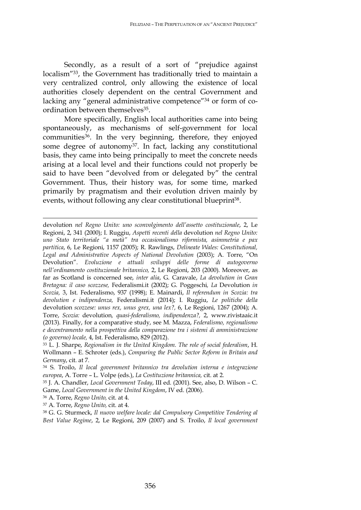Secondly, as a result of a sort of "prejudice against localism"33, the Government has traditionally tried to maintain a very centralized control, only allowing the existence of local authorities closely dependent on the central Government and lacking any "general administrative competence"<sup>34</sup> or form of coordination between themselves<sup>35</sup>.

More specifically, English local authorities came into being spontaneously, as mechanisms of self-government for local communities<sup>36</sup>. In the very beginning, therefore, they enjoyed some degree of autonomy37. In fact, lacking any constitutional basis, they came into being principally to meet the concrete needs arising at a local level and their functions could not properly be said to have been "devolved from or delegated by" the central Government. Thus, their history was, for some time, marked primarily by pragmatism and their evolution driven mainly by events, without following any clear constitutional blueprint<sup>38</sup>.

devolution *nel Regno Unito: uno sconvolgimento dell'assetto costituzionale*, 2, Le Regioni, 2, 341 (2000); I. Ruggiu, *Aspetti recenti della* devolution *nel Regno Unito: uno Stato territoriale "a metà" tra occasionalismo riformista, asimmetria e pax partitica*, 6, Le Regioni, 1157 (2005); R. Rawlings, *Delineate Wales: Constitutional, Legal and Administrative Aspects of National Devolution* (2003); A. Torre, "On Devolution". *Evoluzione e attuali sviluppi delle forme di autogoverno nell'ordinamento costituzionale britannico,* 2, Le Regioni, 203 (2000). Moreover, as far as Scotland is concerned see, *inter alia*, G. Caravale, *La devolution in Gran Bretagna: il caso scozzese,* Federalismi.it (2002); G. Poggeschi*, La* Devolution *in Scozia,* 3, Ist. Federalismo, 937 (1998); E. Mainardi, *Il referendum in Scozia: tra devolution e indipendenza,* Federalismi.it (2014); I. Ruggiu, *Le politiche della*  devolution *scozzese: unus rex, unus grex, una lex?,* 6, Le Regioni, 1267 (2004); A. Torre, *Scozia:* devolution*, quasi-federalismo, indipendenza?,* 2, www.rivistaaic.it (2013). Finally, for a comparative study, see M. Mazza, *Federalismo, regionalismo e decentramento nella prospettiva della comparazione tra i sistemi di amministrazione (o governo) locale,* 4, Ist. Federalismo, 829 (2012).

<sup>36</sup> A. Torre, *Regno Unito,* cit. at 4.

<u>.</u>

<sup>37</sup> A. Torre, *Regno Unito,* cit. at 4.

<sup>38</sup> G. G. Sturmeck, *Il nuovo welfare locale: dal Compulsory Competitive Tendering al Best Value Regime*, 2, Le Regioni, 209 (2007) and S. Troilo, *Il local government* 

<sup>33</sup> L. J. Sharpe, *Regionalism in the United Kingdom. The role of social federalism*, H. Wollmann – E. Schroter (eds.), *Comparing the Public Sector Reform in Britain and Germany*, cit. at 7.

<sup>34</sup> S. Troilo, *Il local government britannico tra devolution interna e integrazione europea*, A. Torre – L. Volpe (eds.), *La Costituzione britannica,* cit. at 2.

<sup>35</sup> J. A. Chandler, *Local Government Today*, III ed. (2001). See, also, D. Wilson – C. Game, *Local Government in the United Kingdom*, IV ed. (2006).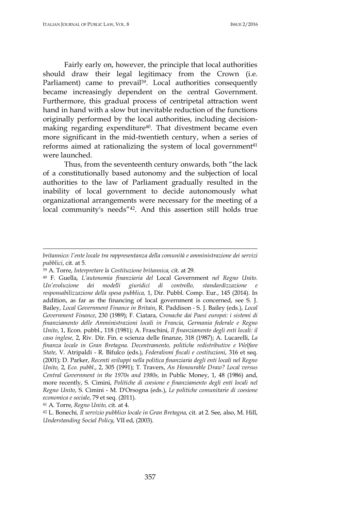Fairly early on, however, the principle that local authorities should draw their legal legitimacy from the Crown (i.e. Parliament) came to prevail<sup>39</sup>. Local authorities consequently became increasingly dependent on the central Government. Furthermore, this gradual process of centripetal attraction went hand in hand with a slow but inevitable reduction of the functions originally performed by the local authorities, including decisionmaking regarding expenditure<sup>40</sup>. That divestment became even more significant in the mid-twentieth century, when a series of reforms aimed at rationalizing the system of local government<sup>41</sup> were launched.

Thus, from the seventeenth century onwards, both "the lack of a constitutionally based autonomy and the subjection of local authorities to the law of Parliament gradually resulted in the inability of local government to decide autonomously what organizational arrangements were necessary for the meeting of a local community's needs"42. And this assertion still holds true

<sup>39</sup> A. Torre, *Interpretare la Costituzione britannica,* cit. at 29.

*britannico: l'ente locale tra rappresentanza della comunità e amministrazione dei servizi pubblici*, cit. at 5.

<sup>40</sup> F. Guella, *L'autonomia finanziaria del* Local Government *nel Regno Unito. Un'evoluzione dei modelli giuridici di controllo, standardizzazione e responsabilizzazione della spesa pubblica,* 1, Dir. Pubbl. Comp. Eur., 145 (2014). In addition, as far as the financing of local government is concerned, see S. J. Bailey, *Local Government Finance in Britain*, R. Paddison - S. J. Bailey (eds.), *Local Government Finance*, 230 (1989); F. Ciatara, *Cronache dai Paesi europei: i sistemi di finanziamento delle Amministrazioni locali in Francia, Germania federale e Regno Unito*, 1, Econ. pubbl., 118 (1981); A. Fraschini, *Il finanziamento degli enti locali: il caso inglese,* 2, Riv. Dir. Fin. e scienza delle finanze, 318 (1987); A. Lucarelli, *La finanza locale in Gran Bretagna. Decentramento, politiche redistributive e Welfare State*, V. Atripaldi - R. Bifulco (eds.), *Federalismi fiscali e costituzioni*, 316 et seq. (2001); D. Parker, *Recenti sviluppi nella politica finanziaria degli enti locali nel Regno Unito,* 2, *Eco. pubbl*., 2, 305 (1991); T. Travers, *An Honourable Draw? Local versus Central Government in the 1970s and 1980s,* in Public Money, 1, 48 (1986) and, more recently, S. Cimini, *Politiche di coesione e finanziamento degli enti locali nel Regno Unito*, S. Cimini - M. D'Orsogna (eds.), *Le politiche comunitarie di coesione economica e sociale*, 79 et seq. (2011).

<sup>41</sup> A. Torre, *Regno Unito,* cit. at 4.

<sup>42</sup> L. Bonechi*, Il servizio pubblico locale in Gran Bretagna,* cit. at 2. See, also, M. Hill, *Understanding Social Policy*, VII ed, (2003).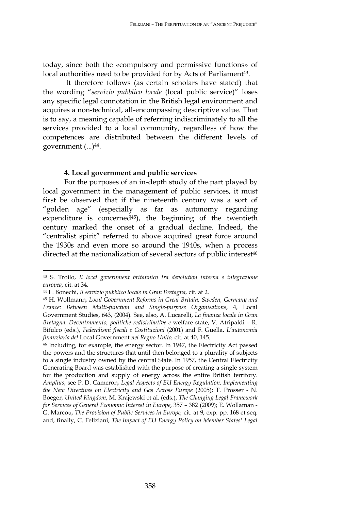today, since both the «compulsory and permissive functions» of local authorities need to be provided for by Acts of Parliament<sup>43</sup>.

It therefore follows (as certain scholars have stated) that the wording "*servizio pubblico locale* (local public service)" loses any specific legal connotation in the British legal environment and acquires a non-technical, all-encompassing descriptive value. That is to say, a meaning capable of referring indiscriminately to all the services provided to a local community, regardless of how the competences are distributed between the different levels of government (...)44.

### **4. Local government and public services**

For the purposes of an in-depth study of the part played by local government in the management of public services, it must first be observed that if the nineteenth century was a sort of "golden age" (especially as far as autonomy regarding expenditure is concerned<sup>45</sup>), the beginning of the twentieth century marked the onset of a gradual decline. Indeed, the "centralist spirit" referred to above acquired great force around the 1930s and even more so around the 1940s, when a process directed at the nationalization of several sectors of public interest<sup>46</sup>

 $\overline{a}$ 

<sup>46</sup> Including, for example, the energy sector. In 1947, the Electricity Act passed the powers and the structures that until then belonged to a plurality of subjects to a single industry owned by the central State. In 1957, the Central Electricity Generating Board was established with the purpose of creating a single system for the production and supply of energy across the entire British territory. *Amplius*, see P. D. Cameron, *Legal Aspects of EU Energy Regulation. Implementing the New Directives on Electricity and Gas Across Europe* (2005); T. Prosser - N. Boeger, *United Kingdom*, M. Krajewski et al. (eds.), *The Changing Legal Framework for Services of General Economic Interest in Europe*, 357 – 382 (2009); E. Wollaman - G. Marcou, *The Provision of Public Services in Europe,* cit. at 9, exp. pp. 168 et seq. and, finally, C. Feliziani, *The Impact of EU Energy Policy on Member States' Legal* 

<sup>43</sup> S. Troilo, *Il local government britannico tra devolution interna e integrazione europea,* cit. at 34.

<sup>44</sup> L. Bonechi, *Il servizio pubblico locale in Gran Bretagna,* cit. at 2.

<sup>45</sup> H. Wollmann, *Local Government Reforms in Great Britain, Sweden, Germany and France: Between Multi-function and Single-purpose Organisations*, 4, Local Government Studies, 643, (2004). See, also, A. Lucarelli, *La finanza locale in Gran Bretagna. Decentramento, politiche redistributive e* welfare state, V. Atripaldi – R. Bifulco (eds.), *Federalismi fiscali e Costituzioni* (2001) and F. Guella, *L'autonomia finanziaria del* Local Government *nel Regno Unito,* cit. at 40, 145.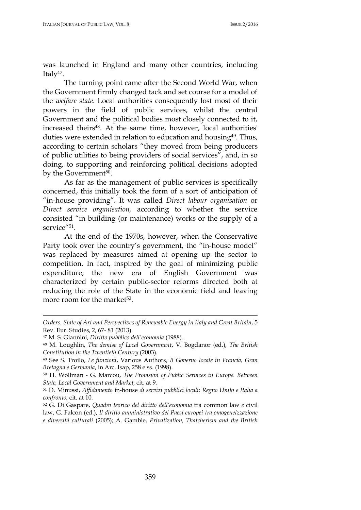was launched in England and many other countries, including Italy<sup>47</sup>.

The turning point came after the Second World War, when the Government firmly changed tack and set course for a model of the *welfare state*. Local authorities consequently lost most of their powers in the field of public services, whilst the central Government and the political bodies most closely connected to it, increased theirs<sup>48</sup>. At the same time, however, local authorities' duties were extended in relation to education and housing<sup>49</sup>. Thus, according to certain scholars "they moved from being producers of public utilities to being providers of social services", and, in so doing, to supporting and reinforcing political decisions adopted by the Government<sup>50</sup>.

As far as the management of public services is specifically concerned, this initially took the form of a sort of anticipation of "in-house providing". It was called *Direct labour organisation* or *Direct service organisation,* according to whether the service consisted "in building (or maintenance) works or the supply of a service"<sup>51</sup>.

At the end of the 1970s, however, when the Conservative Party took over the country's government, the "in-house model" was replaced by measures aimed at opening up the sector to competition. In fact, inspired by the goal of minimizing public expenditure, the new era of English Government was characterized by certain public-sector reforms directed both at reducing the role of the State in the economic field and leaving more room for the market<sup>52</sup>.

*Orders. State of Art and Perspectives of Renewable Energy in Italy and Great Britain*, 5 Rev. Eur. Studies, 2, 67- 81 (2013).

<sup>47</sup> M. S. Giannini, *Diritto pubblico dell'economia* (1988).

<sup>48</sup> M. Loughlin, *The demise of Local Government*, V. Bogdanor (ed.), *The British Constitution in the Twentieth Century* (2003).

<sup>49</sup> See S. Troilo, *Le funzioni*, Various Authors, *Il Governo locale in Francia, Gran Bretagna e Germania*, in Arc. Isap, 258 e ss. (1998).

<sup>50</sup> H. Wollman - G. Marcou, *The Provision of Public Services in Europe. Between State, Local Government and Market,* cit. at 9.

<sup>51</sup> D. Minussi, *Affidamento* in-house *di servizi pubblici locali: Regno Unito e Italia a confronto,* cit. at 10.

<sup>52</sup> G. Di Gaspare, *Quadro teorico del diritto dell'economia* tra common law *e* civil law, G. Falcon (ed.), *Il diritto amministrativo dei Paesi europei tra omogeneizzazione e diversità culturali* (2005); A. Gamble, *Privatization, Thatcherism and the British*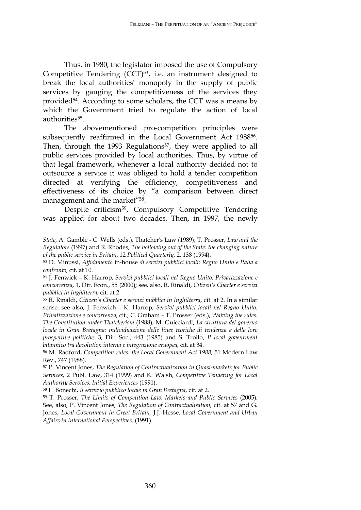Thus, in 1980, the legislator imposed the use of Compulsory Competitive Tendering (CCT)<sup>53</sup>, i.e. an instrument designed to break the local authorities' monopoly in the supply of public services by gauging the competitiveness of the services they provided<sup>54</sup>. According to some scholars, the CCT was a means by which the Government tried to regulate the action of local authorities<sup>55</sup>.

The abovementioned pro-competition principles were subsequently reaffirmed in the Local Government Act 1988<sup>56</sup>. Then, through the 1993 Regulations<sup>57</sup>, they were applied to all public services provided by local authorities. Thus, by virtue of that legal framework, whenever a local authority decided not to outsource a service it was obliged to hold a tender competition directed at verifying the efficiency, competitiveness and effectiveness of its choice by "a comparison between direct management and the market"58.

Despite criticism59, Compulsory Competitive Tendering was applied for about two decades. Then, in 1997, the newly

*State*, A. Gamble - C. Wells (eds.), Thatcher's Law (1989); T. Prosser, *Law and the Regulators* (1997) and R. Rhodes, *The hollowing out of the State: the changing nature of the public service in Britain*, 12 *Political Quarterly*, 2, 138 (1994).

<sup>53</sup> D. Minussi, *Affidamento* in-house *di servizi pubblici locali: Regno Unito e Italia a confronto,* cit. at 10.

<sup>54</sup> J. Fenwick – K. Harrop, *Servizi pubblici locali nel Regno Unito. Privatizzazione e concorrenza*, 1, Dir. Econ., 55 (2000); see, also, R. Rinaldi, *Citizen's Charter e servizi pubblici in Inghilterra*, cit. at 2.

<sup>55</sup> R. Rinaldi, *Citizen's Charter e servizi pubblici in Inghilterra*, cit. at 2. In a similar sense, see also, J. Fenwich – K. Harrop, *Servivi pubblici locali nel Regno Unito. Privatizzazione e concorrenza*, cit.; C. Graham – T. Prosser (eds.), *Waiving the rules. The Constitution under Thatcherism* (1988); M. Guicciardi, *La struttura del governo locale in Gran Bretagna: individuazione delle linee teoriche di tendenza e delle loro prospettive politiche,* 3, Dir. Soc*.*, 443 (1985) and S. Troilo, *Il local govenrment bitannico tra devolution interna e integrazione eruopea,* cit. at 34.

<sup>56</sup> M. Radford, *Competition rules: the Local Government Act 1988*, 51 Modern Law Rev., 747 (1988).

<sup>57</sup> P. Vincent Jones, *The Regulation of Contractualization in Quasi-markets for Public Services*, 2 Publ. Law, 314 (1999) and K. Walsh, *Competitive Tendering for Local Authority Services: Initial Experiences* (1991).

<sup>58</sup> L. Bonechi, *Il servizio pubblico locale in Gran Bretagna,* cit. at 2.

<sup>59</sup> T. Prosser, *The Limits of Competition Law. Markets and Public Services* (2005). See, also, P. Vincent Jones, *The Regulation of Contractualisation,* cit. at 57 and G. Jones, *Local Government in Great Britain,* J.J. Hesse, *Local Government and Urban Affairs in International Perspectives,* (1991).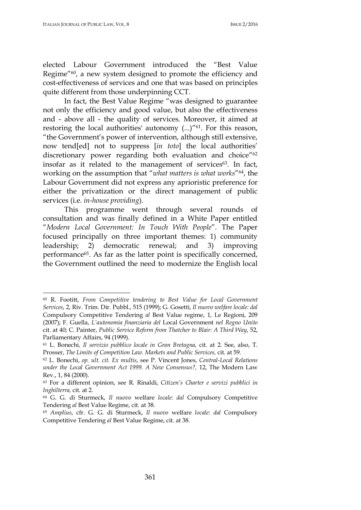$\overline{a}$ 

elected Labour Government introduced the "Best Value Regime"60, a new system designed to promote the efficiency and cost-effectiveness of services and one that was based on principles quite different from those underpinning CCT.

In fact, the Best Value Regime "was designed to guarantee not only the efficiency and good value, but also the effectiveness and - above all - the quality of services. Moreover, it aimed at restoring the local authorities' autonomy (...)"<sup>61</sup>. For this reason, "the Government's power of intervention, although still extensive, now tend[ed] not to suppress [*in toto*] the local authorities' discretionary power regarding both evaluation and choice"<sup>62</sup> insofar as it related to the management of services<sup>63</sup>. In fact, working on the assumption that "*what matters is what works*"64, the Labour Government did not express any aprioristic preference for either the privatization or the direct management of public services (i.e. *in-house providing*).

This programme went through several rounds of consultation and was finally defined in a White Paper entitled "*Modern Local Government: In Touch With People*". The Paper focused principally on three important themes: 1) community leadership; 2) democratic renewal; and 3) improving performance65. As far as the latter point is specifically concerned, the Government outlined the need to modernize the English local

<sup>60</sup> R. Footitt, *From Competitive tendering to Best Value for Local Government Services*, 2, Riv. Trim. Dir. Pubbl., 515 (1999); G. Gosetti, *Il nuovo welfare locale: dal*  Compulsory Competitive Tendering *al* Best Value regime, 1, Le Regioni, 209 (2007); F. Guella, *L'autonomia finanziaria del* Local Government *nel Regno Unito* cit. at 40; C. Painter, *Public Service Reform from Thatcher to Blair: A Third Way*, 52, Parliamentary Affairs, 94 (1999).

<sup>61</sup> L. Bonechi*, Il servizio pubblico locale in Gran Bretagna,* cit. at 2. See, also, T. Prosser, *The Limits of Competition Law. Markets and Public Services,* cit. at 59.

<sup>62</sup> L. Bonechi, *op. ult. cit. Ex multis*, see P. Vincent Jones, *Central-Local Relations under the Local Government Act 1999. A New Consensus?,* 12, The Modern Law Rev., 1, 84 (2000).

<sup>63</sup> For a different opinion, see R. Rinaldi, *Citizen's Charter e servizi pubblici in Inghilterra,* cit. at 2.

<sup>64</sup> G. G. di Sturmeck, *Il nuovo* welfare *locale: dal* Compulsory Competitive Tendering *al* Best Value Regime, cit. at 38.

<sup>65</sup> *Amplius*, cfr. G. G. di Sturmeck, *Il nuovo* welfare *locale: dal* Compulsory Competitive Tendering *al* Best Value Regime, cit. at 38.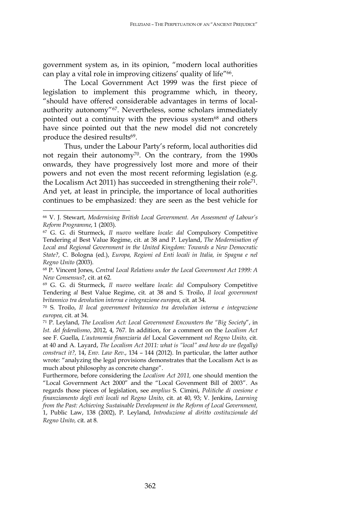government system as, in its opinion, "modern local authorities can play a vital role in improving citizens' quality of life"66.

The Local Government Act 1999 was the first piece of legislation to implement this programme which, in theory, "should have offered considerable advantages in terms of localauthority autonomy"67. Nevertheless, some scholars immediately pointed out a continuity with the previous system<sup>68</sup> and others have since pointed out that the new model did not concretely produce the desired results<sup>69</sup>.

Thus, under the Labour Party's reform, local authorities did not regain their autonomy70. On the contrary, from the 1990s onwards, they have progressively lost more and more of their powers and not even the most recent reforming legislation (e.g. the Localism Act 2011) has succeeded in strengthening their role71. And yet, at least in principle, the importance of local authorities continues to be emphasized: they are seen as the best vehicle for

 $\overline{a}$ 

<sup>66</sup> V. J. Stewart, *Modernising British Local Government. An Assesment of Labour's Reform Programme*, 1 (2003).

<sup>67</sup> G. G. di Sturmeck, *Il nuovo* welfare *locale: dal* Compulsory Competitive Tendering *al* Best Value Regime, cit. at 38 and P. Leyland, *The Modernisation of Local and Regional Government in the United Kingdom: Towards a New Democratic State?,* C. Bologna (ed.), *Europa, Regioni ed Enti locali in Italia, in Spagna e nel Regno Unito* (2003).

<sup>68</sup> P. Vincent Jones, *Central Local Relations under the Local Government Act 1999: A New Consensus*?, cit. at 62.

<sup>69</sup> G. G. di Sturmeck, *Il nuovo* welfare *locale: dal* Compulsory Competitive Tendering *al* Best Value Regime, cit. at 38 and S. Troilo, *Il local government britannico tra devolution interna e integrazione europea,* cit. at 34.

<sup>70</sup> S. Troilo, *Il local government britannico tra devolution interna e integrazione europea,* cit. at 34.

<sup>71</sup> P. Leyland, *The Localism Act: Local Government Encounters the "Big Society*", in *Ist. del federalismo*, 2012, 4, 767. In addition, for a comment on the *Localism Act* see F. Guella, *L'autonomia finanziaria del* Local Government *nel Regno Unito,* cit. at 40 and A. Layard, *The Localism Act 2011: what is "local" and how do we (legally) construct it?,* 14, *Env. Law Rev*., 134 – 144 (2012). In particular, the latter author wrote: "analyzing the legal provisions demonstrates that the Localism Act is as much about philosophy as concrete change".

Furthermore, before considering the *Localism Act 2011,* one should mention the "Local Government Act 2000" and the "Local Govenment Bill of 2003". As regards those pieces of legislation, see *amplius* S. Cimini, *Politiche di coesione e finanziamento degli enti locali nel Regno Unito,* cit. at 40, 93; V. Jenkins, *Learning from the Past: Achieving Sustainable Development in the Reform of Local Government,*  1, Public Law, 138 (2002), P. Leyland, *Introduzione al diritto costituzionale del Regno Unito,* cit. at 8.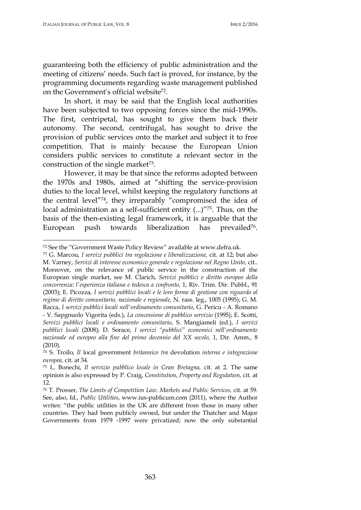l

guaranteeing both the efficiency of public administration and the meeting of citizens' needs. Such fact is proved, for instance, by the programming documents regarding waste management published on the Government's official website72.

In short, it may be said that the English local authorities have been subjected to two opposing forces since the mid-1990s. The first, centripetal, has sought to give them back their autonomy. The second, centrifugal, has sought to drive the provision of public services onto the market and subject it to free competition. That is mainly because the European Union considers public services to constitute a relevant sector in the construction of the single market $73$ .

However, it may be that since the reforms adopted between the 1970s and 1980s, aimed at "shifting the service-provision duties to the local level, whilst keeping the regulatory functions at the central level"74, they irreparably "compromised the idea of local administration as a self-sufficient entity (...)"75. Thus, on the basis of the then-existing legal framework, it is arguable that the European push towards liberalization has prevailed<sup>76</sup>.

<sup>72</sup> See the "Government Waste Policy Review" available at www.defra.uk.

<sup>73</sup> G. Marcou, *I servizi pubblici tra regolazione e liberalizzazione,* cit. at 12; but also M. Varney, *Servizi di interesse economico generale e regolazione nel Regno Unito,* cit.. Moreover, on the relevance of public service in the construction of the European single market, see M. Clarich, *Servizi pubblici e diritto europeo della concorrenza: l'esperienza italiana e tedesca a confronto,* 1, Riv. Trim. Dir. Pubbl., 91 (2003); E. Picozza, *I servizi pubblici locali e le loro forme di gestione con riguardo al regime di diritto comunitario, nazionale e regionale,* N. rass. leg., 1005 (1995); G. M. Racca, *I servizi pubblici locali nell'ordinamento comunitario*, G. Pericu - A. Romano - V. Sapgnuolo Vigorita (eds.), *La concessione di pubblico servizio* (1995); E. Scotti, *Servizi pubblici locali e ordinamento comunitario*, S. Mangiameli (ed.), *I servizi pubblici locali* (2008); D. Sorace, *I servizi "pubblici" economici nell'ordinamento*  nazionale ed europeo alla fine del primo decennio del XX secolo, 1, Dir. Amm., 8 (2010).

<sup>74</sup> S. Troilo, *Il* local government *britannico tra* devolution *interna e integrazione europea,* cit. at 34.

<sup>75</sup> L. Bonechi, *Il servizio pubblico locale in Gran Bretagna,* cit. at 2. The same opinion is also expressed by P. Craig, *Constitution*, *Property and Regulation,* cit. at 12.

<sup>76</sup> T. Prosser, *The Limits of Competition Law. Markets and Public Services,* cit. at 59*.*  See, also, Id., *Public Utilities*, www.ius-publicum.com (2011), where the Author writes: "the public utilities in the UK are different from those in many other countries. They had been publicly owned, but under the Thatcher and Major Governments from 1979 -1997 were privatized; now the only substantial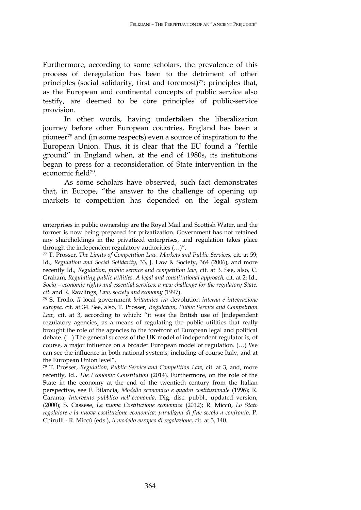Furthermore, according to some scholars, the prevalence of this process of deregulation has been to the detriment of other principles (social solidarity, first and foremost) $77$ ; principles that, as the European and continental concepts of public service also testify, are deemed to be core principles of public-service provision.

In other words, having undertaken the liberalization journey before other European countries, England has been a pioneer78 and (in some respects) even a source of inspiration to the European Union. Thus, it is clear that the EU found a "fertile ground" in England when, at the end of 1980s, its institutions began to press for a reconsideration of State intervention in the economic field79.

As some scholars have observed, such fact demonstrates that, in Europe, "the answer to the challenge of opening up markets to competition has depended on the legal system

<u>.</u>

<sup>78</sup> S. Troilo, *Il* local government *britannico tra* devolution *interna e integrazione europea,* cit. at 34. See, also, T. Prosser, *Regulation, Public Service and Competition Law,* cit. at 3, according to which: "it was the British use of [independent regulatory agencies] as a means of regulating the public utilities that really brought the role of the agencies to the forefront of European legal and political debate. (…) The general success of the UK model of independent regulator is, of course, a major influence on a broader European model of regulation. (…) We can see the influence in both national systems, including of course Italy, and at the European Union level".

enterprises in public ownership are the Royal Mail and Scottish Water, and the former is now being prepared for privatization. Government has not retained any shareholdings in the privatized enterprises, and regulation takes place through the independent regulatory authorities (…)".

<sup>77</sup> T. Prosser, *The Limits of Competition Law. Markets and Public Services,* cit. at 59; Id., *Regulation and Social Solidarity*, 33, J. Law & Society, 364 (2006), and more recently Id., *Regulation, public service and competition law,* cit. at 3. See, also, C. Graham, *Regulating public utilities. A legal and constitutional approach,* cit. at 2; Id., *Socio – economic rights and essential services: a new challenge for the regulatory State, cit*. and R. Rawlings, *Law, society and economy* (1997).

<sup>79</sup> T. Prosser, *Regulation, Public Service and Competition Law,* cit. at 3, and, more recently, Id., *The Economic Constitution* (2014). Furthermore, on the role of the State in the economy at the end of the twentieth century from the Italian perspective, see F. Bilancia, *Modello economico e quadro costituzionale* (1996); R. Caranta, *Intervento pubblico nell'economia*, Dig. disc. pubbl., updated version, (2000); S. Cassese, *La nuova Costituzione economica* (2012); R. Miccù, *Lo Stato regolatore e la nuova costituzione economica: paradigmi di fine secolo a confronto*, P. Chirulli - R. Miccù (eds.), *Il modello europeo di regolazione*, cit. at 3, 140.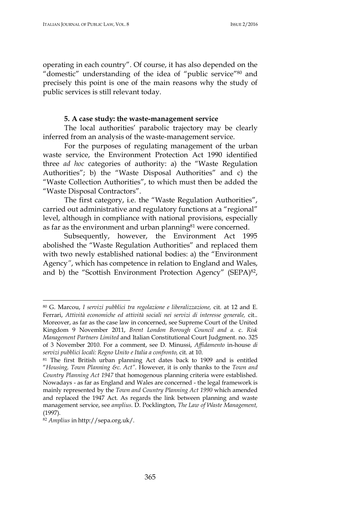operating in each country". Of course, it has also depended on the "domestic" understanding of the idea of "public service"80 and precisely this point is one of the main reasons why the study of public services is still relevant today.

### **5. A case study: the waste-management service**

The local authorities' parabolic trajectory may be clearly inferred from an analysis of the waste-management service.

For the purposes of regulating management of the urban waste service, the Environment Protection Act 1990 identified three *ad hoc* categories of authority: a) the "Waste Regulation Authorities"; b) the "Waste Disposal Authorities" and c) the "Waste Collection Authorities", to which must then be added the "Waste Disposal Contractors".

The first category, i.e. the "Waste Regulation Authorities", carried out administrative and regulatory functions at a "regional" level, although in compliance with national provisions, especially as far as the environment and urban planning<sup>81</sup> were concerned.

Subsequently, however, the Environment Act 1995 abolished the "Waste Regulation Authorities" and replaced them with two newly established national bodies: a) the "Environment Agency*"*, which has competence in relation to England and Wales, and b) the "Scottish Environment Protection Agency" (SEPA)82,

 $\overline{a}$ 

<sup>80</sup> G. Marcou, *I servizi pubblici tra regolazione e liberalizzazione,* cit. at 12 and E. Ferrari, *Attività economiche ed attività sociali nei servizi di interesse generale,* cit.. Moreover, as far as the case law in concerned, see Supreme Court of the United Kingdom 9 November 2011, *Brent London Borough Council and a.* c. *Risk Management Partners Limited* and Italian Constitutional Court Judgment. no. 325 of 3 November 2010. For a comment, see D. Minussi, *Affidamento* in-house *di servizi pubblici locali: Regno Unito e Italia a confronto,* cit. at 10.

<sup>81</sup> The first British urban planning Act dates back to 1909 and is entitled "*Housing, Town Planning &c. Act"*. However, it is only thanks to the *Town and Country Planning Act 1947* that homogenous planning criteria were established. Nowadays - as far as England and Wales are concerned - the legal framework is mainly represented by the *Town and Country Planning Act 1990* which amended and replaced the 1947 Act. As regards the link between planning and waste management service, see *amplius*. D. Pocklington, *The Law of Waste Management,*  (1997).

<sup>82</sup> *Amplius* in http://sepa.org.uk/.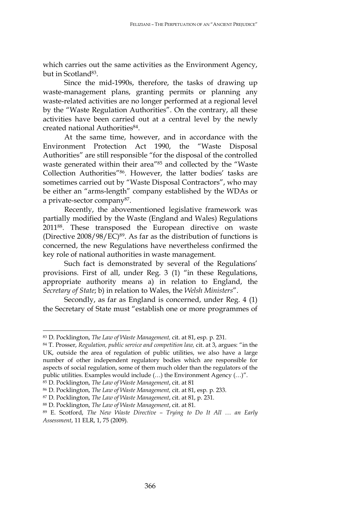which carries out the same activities as the Environment Agency, but in Scotland<sup>83</sup>.

Since the mid-1990s, therefore, the tasks of drawing up waste-management plans, granting permits or planning any waste-related activities are no longer performed at a regional level by the "Waste Regulation Authorities". On the contrary, all these activities have been carried out at a central level by the newly created national Authorities<sup>84</sup>.

At the same time, however, and in accordance with the Environment Protection Act 1990, the "Waste Disposal Authorities" are still responsible "for the disposal of the controlled waste generated within their area"<sup>85</sup> and collected by the "Waste Collection Authorities"86. However, the latter bodies' tasks are sometimes carried out by "Waste Disposal Contractors", who may be either an "arms-length" company established by the WDAs or a private-sector company87.

Recently, the abovementioned legislative framework was partially modified by the Waste (England and Wales) Regulations 201188. These transposed the European directive on waste (Directive 2008/98/EC)89. As far as the distribution of functions is concerned, the new Regulations have nevertheless confirmed the key role of national authorities in waste management.

Such fact is demonstrated by several of the Regulations' provisions. First of all, under Reg. 3 (1) "in these Regulations, appropriate authority means a) in relation to England, the *Secretary of State*; b) in relation to Wales, the *Welsh Ministers*".

Secondly, as far as England is concerned, under Reg. 4 (1) the Secretary of State must "establish one or more programmes of

 $\overline{a}$ 

<sup>83</sup> D. Pocklington, *The Law of Waste Management,* cit. at 81, esp. p. 231.

<sup>84</sup> T. Prosser, *Regulation, public service and competition law,* cit. at 3, argues: "in the UK, outside the area of regulation of public utilities, we also have a large number of other independent regulatory bodies which are responsible for aspects of social regulation, some of them much older than the regulators of the public utilities. Examples would include (…) the Environment Agency (…)".

<sup>85</sup> D. Pocklington, *The Law of Waste Management*, cit. at 81

<sup>86</sup> D. Pocklington, *The Law of Waste Management,* cit. at 81, esp. p. 233.

<sup>87</sup> D. Pocklington, *The Law of Waste Management*, cit. at 81, p. 231.

<sup>88</sup> D. Pocklington, *The Law of Waste Management*, cit. at 81.

<sup>89</sup> E. Scotford, *The New Waste Directive – Trying to Do It All … an Early Assessment*, 11 ELR, 1, 75 (2009).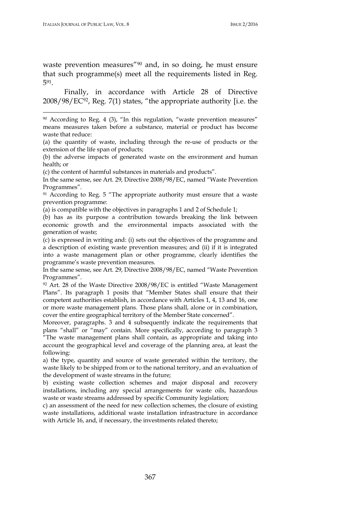$\overline{a}$ 

waste prevention measures"<sup>90</sup> and, in so doing, he must ensure that such programme(s) meet all the requirements listed in Reg. 591.

Finally, in accordance with Article 28 of Directive  $2008/98/EC^{92}$ , Reg. 7(1) states, "the appropriate authority [i.e. the

(c) the content of harmful substances in materials and products".

In the same sense, see Art. 29, Directive 2008/98/EC, named "Waste Prevention Programmes".

<sup>91</sup> According to Reg. 5 "The appropriate authority must ensure that a waste prevention programme:

(a) is compatible with the objectives in paragraphs 1 and 2 of Schedule 1;

(b) has as its purpose a contribution towards breaking the link between economic growth and the environmental impacts associated with the generation of waste;

(c) is expressed in writing and: (i) sets out the objectives of the programme and a description of existing waste prevention measures; and (ii) if it is integrated into a waste management plan or other programme, clearly identifies the programme's waste prevention measures.

In the same sense, see Art. 29, Directive 2008/98/EC, named "Waste Prevention Programmes".

<sup>92</sup> Art. 28 of the Waste Directive 2008/98/EC is entitled "Waste Management Plans". Its paragraph 1 posits that "Member States shall ensure that their competent authorities establish, in accordance with Articles 1, 4, 13 and 16, one or more waste management plans. Those plans shall, alone or in combination, cover the entire geographical territory of the Member State concerned".

Moreover, paragraphs. 3 and 4 subsequently indicate the requirements that plans "shall" or "may" contain. More specifically, according to paragraph 3 "The waste management plans shall contain, as appropriate and taking into account the geographical level and coverage of the planning area, at least the following:

a) the type, quantity and source of waste generated within the territory, the waste likely to be shipped from or to the national territory, and an evaluation of the development of waste streams in the future;

b) existing waste collection schemes and major disposal and recovery installations, including any special arrangements for waste oils, hazardous waste or waste streams addressed by specific Community legislation;

c) an assessment of the need for new collection schemes, the closure of existing waste installations, additional waste installation infrastructure in accordance with Article 16, and, if necessary, the investments related thereto;

<sup>90</sup> According to Reg. 4 (3), "In this regulation, "waste prevention measures" means measures taken before a substance, material or product has become waste that reduce:

<sup>(</sup>a) the quantity of waste, including through the re-use of products or the extension of the life span of products;

<sup>(</sup>b) the adverse impacts of generated waste on the environment and human health; or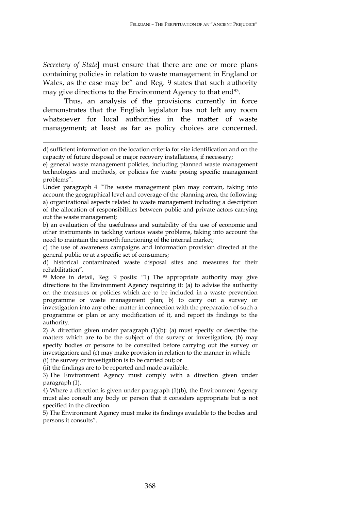*Secretary of State*] must ensure that there are one or more plans containing policies in relation to waste management in England or Wales, as the case may be" and Reg. 9 states that such authority may give directions to the Environment Agency to that end<sup>93</sup>.

Thus, an analysis of the provisions currently in force demonstrates that the English legislator has not left any room whatsoever for local authorities in the matter of waste management; at least as far as policy choices are concerned.

<u>.</u>

b) an evaluation of the usefulness and suitability of the use of economic and other instruments in tackling various waste problems, taking into account the need to maintain the smooth functioning of the internal market;

c) the use of awareness campaigns and information provision directed at the general public or at a specific set of consumers;

d) historical contaminated waste disposal sites and measures for their rehabilitation".

<sup>93</sup> More in detail, Reg. 9 posits: "1) The appropriate authority may give directions to the Environment Agency requiring it: (a) to advise the authority on the measures or policies which are to be included in a waste prevention programme or waste management plan; b) to carry out a survey or investigation into any other matter in connection with the preparation of such a programme or plan or any modification of it, and report its findings to the authority.

2) A direction given under paragraph (1)(b): (a) must specify or describe the matters which are to be the subject of the survey or investigation; (b) may specify bodies or persons to be consulted before carrying out the survey or investigation; and (c) may make provision in relation to the manner in which:

(i) the survey or investigation is to be carried out; or

(ii) the findings are to be reported and made available.

3) The Environment Agency must comply with a direction given under paragraph (1).

4) Where a direction is given under paragraph (1)(b), the Environment Agency must also consult any body or person that it considers appropriate but is not specified in the direction.

5) The Environment Agency must make its findings available to the bodies and persons it consults".

d) sufficient information on the location criteria for site identification and on the capacity of future disposal or major recovery installations, if necessary;

e) general waste management policies, including planned waste management technologies and methods, or policies for waste posing specific management problems".

Under paragraph 4 "The waste management plan may contain, taking into account the geographical level and coverage of the planning area, the following: a) organizational aspects related to waste management including a description of the allocation of responsibilities between public and private actors carrying out the waste management;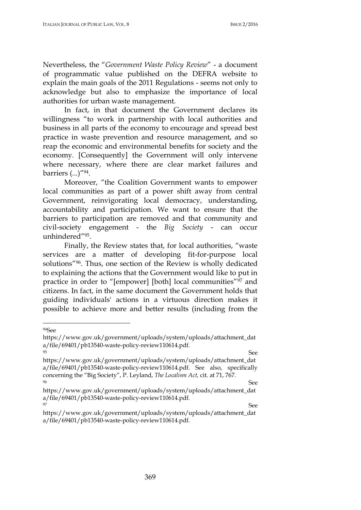Nevertheless, the "*Government Waste Policy Review*" - a document of programmatic value published on the DEFRA website to explain the main goals of the 2011 Regulations - seems not only to acknowledge but also to emphasize the importance of local authorities for urban waste management.

In fact, in that document the Government declares its willingness "to work in partnership with local authorities and business in all parts of the economy to encourage and spread best practice in waste prevention and resource management, and so reap the economic and environmental benefits for society and the economy. [Consequently] the Government will only intervene where necessary, where there are clear market failures and barriers  $(...)''^{94}.$ 

Moreover, "the Coalition Government wants to empower local communities as part of a power shift away from central Government, reinvigorating local democracy, understanding, accountability and participation. We want to ensure that the barriers to participation are removed and that community and civil-society engagement - the *Big Society* - can occur unhindered"95.

Finally, the Review states that, for local authorities, "waste services are a matter of developing fit-for-purpose local solutions"96. Thus, one section of the Review is wholly dedicated to explaining the actions that the Government would like to put in practice in order to "[empower] [both] local communities"<sup>97</sup> and citizens. In fact, in the same document the Government holds that guiding individuals' actions in a virtuous direction makes it possible to achieve more and better results (including from the

l

<sup>94</sup>See

https://www.gov.uk/government/uploads/system/uploads/attachment\_dat a/file/69401/pb13540-waste-policy-review110614.pdf.

<sup>95</sup> See https://www.gov.uk/government/uploads/system/uploads/attachment\_dat a/file/69401/pb13540-waste-policy-review110614.pdf. See also, specifically concerning the "Big Society", P. Leyland, *The Localism Act,* cit. at 71, 767. <sup>96</sup> See

https://www.gov.uk/government/uploads/system/uploads/attachment\_dat a/file/69401/pb13540-waste-policy-review110614.pdf. expansion of the state of the state of the state of the See See See See See See Section 1, 1992

https://www.gov.uk/government/uploads/system/uploads/attachment\_dat a/file/69401/pb13540-waste-policy-review110614.pdf.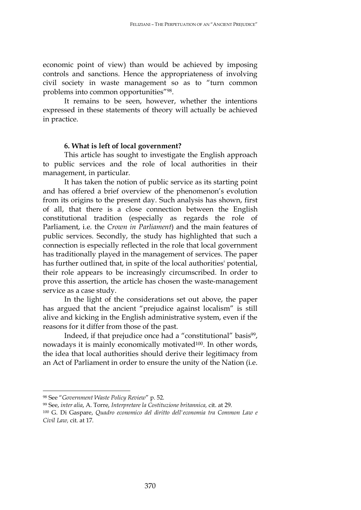economic point of view) than would be achieved by imposing controls and sanctions. Hence the appropriateness of involving civil society in waste management so as to "turn common problems into common opportunities"98.

It remains to be seen, however, whether the intentions expressed in these statements of theory will actually be achieved in practice.

# **6. What is left of local government?**

This article has sought to investigate the English approach to public services and the role of local authorities in their management, in particular.

It has taken the notion of public service as its starting point and has offered a brief overview of the phenomenon's evolution from its origins to the present day. Such analysis has shown, first of all, that there is a close connection between the English constitutional tradition (especially as regards the role of Parliament, i.e. the *Crown in Parliament*) and the main features of public services. Secondly, the study has highlighted that such a connection is especially reflected in the role that local government has traditionally played in the management of services. The paper has further outlined that, in spite of the local authorities' potential, their role appears to be increasingly circumscribed. In order to prove this assertion, the article has chosen the waste-management service as a case study.

In the light of the considerations set out above, the paper has argued that the ancient "prejudice against localism" is still alive and kicking in the English administrative system, even if the reasons for it differ from those of the past.

Indeed, if that prejudice once had a "constitutional" basis<sup>99</sup>, nowadays it is mainly economically motivated<sup>100</sup>. In other words, the idea that local authorities should derive their legitimacy from an Act of Parliament in order to ensure the unity of the Nation (i.e.

 $\overline{a}$ 

<sup>98</sup> See "*Government Waste Policy Review*" p. 52.

<sup>99</sup> See, *inter alia*, A. Torre, *Interpretare la Costituzione britannica,* cit. at 29.

<sup>100</sup> G. Di Gaspare, *Quadro economico del diritto dell'economia tra Common Law e Civil Law,* cit. at 17.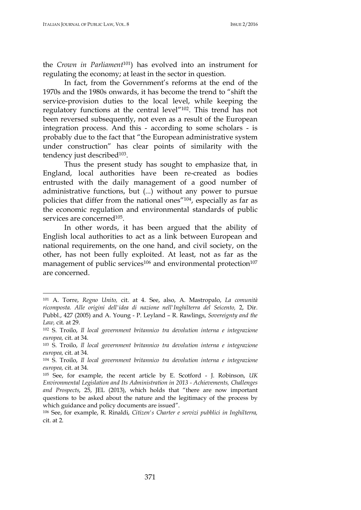l

the *Crown in Parliament*101) has evolved into an instrument for regulating the economy; at least in the sector in question.

In fact, from the Government's reforms at the end of the 1970s and the 1980s onwards, it has become the trend to "shift the service-provision duties to the local level, while keeping the regulatory functions at the central level"102. This trend has not been reversed subsequently, not even as a result of the European integration process. And this - according to some scholars - is probably due to the fact that "the European administrative system under construction" has clear points of similarity with the tendency just described<sup>103</sup>.

Thus the present study has sought to emphasize that, in England, local authorities have been re-created as bodies entrusted with the daily management of a good number of administrative functions, but (...) without any power to pursue policies that differ from the national ones"104, especially as far as the economic regulation and environmental standards of public services are concerned<sup>105</sup>.

In other words, it has been argued that the ability of English local authorities to act as a link between European and national requirements, on the one hand, and civil society, on the other, has not been fully exploited. At least, not as far as the management of public services<sup>106</sup> and environmental protection<sup>107</sup> are concerned.

<sup>101</sup> A. Torre, *Regno Unito,* cit. at 4. See, also, A. Mastropalo, *La comunità ricomposta. Alle origini dell'idea di nazione nell'Inghilterra del Seicento,* 2, Dir. Pubbl., 427 (2005) and A. Young - P. Leyland – R. Rawlings, *Sovereignty and the Law,* cit. at 29.

<sup>102</sup> S. Troilo, *Il local government britannico tra devolution interna e integrazione europea,* cit. at 34.

<sup>103</sup> S. Troilo, *Il local government britannico tra devolution interna e integrazione europea,* cit. at 34.

<sup>104</sup> S. Troilo, *Il local government britannico tra devolution interna e integrazione europea,* cit. at 34.

<sup>105</sup> See, for example, the recent article by E. Scotford - J. Robinson, *UK Environmental Legislation and Its Administration in 2013 - Achievements, Challenges and Prospects*, 25, JEL (2013), which holds that "there are now important questions to be asked about the nature and the legitimacy of the process by which guidance and policy documents are issued".

<sup>106</sup> See, for example, R. Rinaldi, *Citizen's Charter e servizi pubblici in Inghilterra,*  cit. at 2.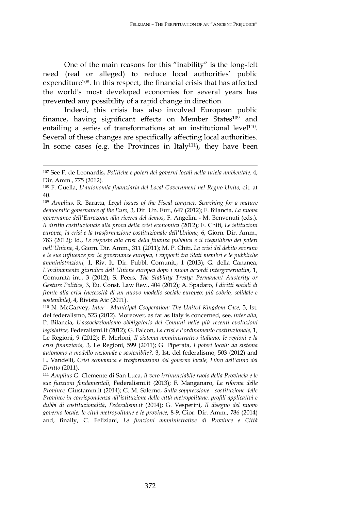One of the main reasons for this "inability" is the long-felt need (real or alleged) to reduce local authorities' public expenditure<sup>108</sup>. In this respect, the financial crisis that has affected the world's most developed economies for several years has prevented any possibility of a rapid change in direction.

Indeed, this crisis has also involved European public finance, having significant effects on Member States<sup>109</sup> and entailing a series of transformations at an institutional level<sup>110</sup>. Several of these changes are specifically affecting local authorities. In some cases (e.g. the Provinces in Italy<sup>111</sup>), they have been

<sup>107</sup> See F. de Leonardis, *Politiche e poteri dei governi locali nella tutela ambientale,* 4, Dir. Amm., 775 (2012).

<sup>108</sup> F. Guella, *L'autonomia finanziaria del Local Government nel Regno Unito,* cit. at 40.

<sup>109</sup> *Amplius*, R. Baratta, *Legal issues of the Fiscal compact. Searching for a mature democratic governance of the Euro,* 3, Dir. Un. Eur., 647 (2012); F. Bilancia, *La nuova governance dell'Eurozona: alla ricerca del demos*, F. Angelini - M. Benvenuti (eds.), *Il diritto costituzionale alla prova della crisi economica* (2012); E. Chiti, *Le istituzioni europee, la crisi e la trasformazione costituzionale dell'Unione,* 6, Giorn. Dir. Amm., 783 (2012); Id., *Le risposte alla crisi della finanza pubblica e il riequilibrio dei poteri nell'Unione,* 4, Giorn. Dir. Amm., 311 (2011); M. P. Chiti, *La crisi del debito sovrano e le sue influenze per la governance europea, i rapporti tra Stati membri e le pubbliche amministrazioni,* 1, Riv. It. Dir. Pubbl. Comunit., 1 (2013); G. della Cananea, *L'ordinamento giuridico dell'Unione europea dopo i nuovi accordi intergovernativi,* 1, Comunità int., 3 (2012); S. Peers, *The Stability Treaty: Permanent Austerity or Gesture Politics,* 3, Eu. Const. Law Rev., 404 (2012); A. Spadaro, *I diritti sociali di fronte alla crisi (necessità di un nuovo modello sociale europeo: più sobrio, solidale e sostenibile),* 4, Rivista Aic (2011).

<sup>110</sup> N. McGarvey, *Inter - Municipal Cooperation: The United Kingdom Case,* 3, Ist. del federalismo, 523 (2012). Moreover, as far as Italy is concerned, see, *inter alia*, P. Bilancia, *L'associazionismo obbligatorio dei Comuni nelle più recenti evoluzioni legislative,* Federalismi.it (2012); G. Falcon, *La crisi e l'ordinamento costituzionale,* 1, Le Regioni, 9 (2012); F. Merloni, *Il sistema amministrativo italiano, le regioni e la crisi finanziaria,* 3, Le Regioni, 599 (2011); G. Piperata, *I poteri locali: da sistema autonomo a modello razionale e sostenibile?,* 3, Ist. del federalismo, 503 (2012) and L. Vandelli, *Crisi economica e trasformazioni del governo locale, Libro dell'anno del Diritto* (2011).

<sup>111</sup> *Amplius* G. Clemente di San Luca, *Il vero irrinunciabile ruolo della Provincia e le sue funzioni fondamentali,* Federalismi.it (2013); F. Manganaro, *La riforma delle Province,* Giustamm.it (2014); G. M. Salerno, *Sulla soppressione - sostituzione delle Province in corrispondenza all'istituzione delle città metropolitane. profili applicativi e dubbi di costituzionalità*, *Federalismi.it* (2014); G. Vesperini, *Il disegno del nuovo governo locale: le città metropolitane e le province,* 8-9, Gior. Dir. Amm., 786 (2014) and, finally, C. Feliziani, *Le funzioni amministrative di Province e Città*